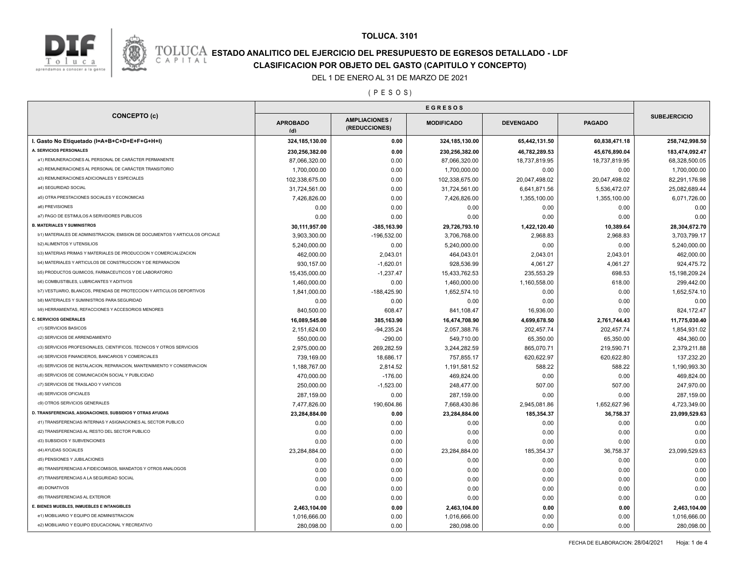

### **TOLUCA. 3101**

## **ESTADO ANALITICO DEL EJERCICIO DEL PRESUPUESTO DE EGRESOS DETALLADO - LDF**<br>CAPITAL CIASIFICACION POR OBJETO DEL GASTO (CAPITULO Y CONCEPTO) **CLASIFICACION POR OBJETO DEL GASTO (CAPITULO Y CONCEPTO)**

#### DEL 1 DE ENERO AL 31 DE MARZO DE 2021

( P E S O S )

|                                                                              | <b>EGRESOS</b>         |                                        |                   |                  |               |                     |
|------------------------------------------------------------------------------|------------------------|----------------------------------------|-------------------|------------------|---------------|---------------------|
| <b>CONCEPTO (c)</b>                                                          | <b>APROBADO</b><br>(d) | <b>AMPLIACIONES /</b><br>(REDUCCIONES) | <b>MODIFICADO</b> | <b>DEVENGADO</b> | <b>PAGADO</b> | <b>SUBEJERCICIO</b> |
| I. Gasto No Etiquetado (I=A+B+C+D+E+F+G+H+I)                                 | 324, 185, 130.00       | 0.00                                   | 324,185,130.00    | 65,442,131.50    | 60,838,471.18 | 258,742,998.50      |
| A. SERVICIOS PERSONALES                                                      | 230,256,382.00         | 0.00                                   | 230,256,382.00    | 46,782,289.53    | 45,676,890.04 | 183,474,092.47      |
| a1) REMUNERACIONES AL PERSONAL DE CARÁCTER PERMANENTE                        | 87,066,320.00          | 0.00                                   | 87,066,320.00     | 18,737,819.95    | 18,737,819.95 | 68,328,500.05       |
| a2) REMUNERACIONES AL PERSONAL DE CARÁCTER TRANSITORIO                       | 1,700,000.00           | 0.00                                   | 1,700,000.00      | 0.00             | 0.00          | 1,700,000.00        |
| a3) REMUNERACIONES ADICIONALES Y ESPECIALES                                  | 102,338,675.00         | 0.00                                   | 102,338,675.00    | 20,047,498.02    | 20,047,498.02 | 82,291,176.98       |
| a4) SEGURIDAD SOCIAL                                                         | 31,724,561.00          | 0.00                                   | 31,724,561.00     | 6,641,871.56     | 5,536,472.07  | 25,082,689.44       |
| a5) OTRA PRESTACIONES SOCIALES Y ECONOMICAS                                  | 7,426,826.00           | 0.00                                   | 7,426,826.00      | 1,355,100.00     | 1,355,100.00  | 6,071,726.00        |
| a6) PREVISIONES                                                              | 0.00                   | 0.00                                   | 0.00              | 0.00             | 0.00          | 0.00                |
| a7) PAGO DE ESTIMULOS A SERVIDORES PUBLICOS                                  | 0.00                   | 0.00                                   | 0.00              | 0.00             | 0.00          | 0.00                |
| <b>B. MATERIALES Y SUMINISTROS</b>                                           | 30,111,957.00          | -385,163.90                            | 29,726,793.10     | 1,422,120.40     | 10,389.64     | 28,304,672.70       |
| b1) MATERIALES DE ADMINISTRACION, EMISION DE DOCUMENTOS Y ARTICULOS OFICIALE | 3,903,300.00           | $-196,532.00$                          | 3,706,768.00      | 2,968.83         | 2,968.83      | 3,703,799.17        |
| <b>b2) ALIMENTOS Y UTENSILIOS</b>                                            | 5,240,000.00           | 0.00                                   | 5,240,000.00      | 0.00             | 0.00          | 5,240,000.00        |
| b3) MATERIAS PRIMAS Y MATERIALES DE PRODUCCION Y COMERCIALIZACION            | 462,000.00             | 2,043.01                               | 464,043.01        | 2,043.01         | 2,043.01      | 462,000.00          |
| b4) MATERIALES Y ARTICULOS DE CONSTRUCCION Y DE REPARACION                   | 930,157.00             | $-1,620.01$                            | 928,536.99        | 4,061.27         | 4,061.27      | 924,475.72          |
| b5) PRODUCTOS QUIMICOS, FARMACEUTICOS Y DE LABORATORIO                       | 15,435,000.00          | $-1,237.47$                            | 15,433,762.53     | 235,553.29       | 698.53        | 15, 198, 209. 24    |
| <b>b6) COMBUSTIBLES, LUBRICANTES Y ADITIVOS</b>                              | 1,460,000.00           | 0.00                                   | 1,460,000.00      | 1,160,558.00     | 618.00        | 299,442.00          |
| b7) VESTUARIO, BLANCOS, PRENDAS DE PROTECCION Y ARTICULOS DEPORTIVOS         | 1,841,000.00           | $-188,425.90$                          | 1,652,574.10      | 0.00             | 0.00          | 1,652,574.10        |
| <b>b8) MATERIALES Y SUMINISTROS PARA SEGURIDAD</b>                           | 0.00                   | 0.00                                   | 0.00              | 0.00             | 0.00          | 0.00                |
| b9) HERRAMIENTAS, REFACCIONES Y ACCESORIOS MENORES                           | 840,500.00             | 608.47                                 | 841,108.47        | 16,936.00        | 0.00          | 824,172.47          |
| <b>C. SERVICIOS GENERALES</b>                                                | 16,089,545.00          | 385,163.90                             | 16,474,708.90     | 4,699,678.50     | 2,761,744.43  | 11,775,030.40       |
| c1) SERVICIOS BASICOS                                                        | 2,151,624.00           | $-94,235.24$                           | 2,057,388.76      | 202,457.74       | 202,457.74    | 1,854,931.02        |
| c2) SERVICIOS DE ARRENDAMIENTO                                               | 550,000.00             | $-290.00$                              | 549,710.00        | 65,350.00        | 65,350.00     | 484,360.00          |
| c3) SERVICIOS PROFESIONALES, CIENTIFICOS, TECNICOS Y OTROS SERVICIOS         | 2,975,000.00           | 269,282.59                             | 3,244,282.59      | 865,070.71       | 219,590.71    | 2,379,211.88        |
| c4) SERVICIOS FINANCIEROS, BANCARIOS Y COMERCIALES                           | 739,169.00             | 18,686.17                              | 757,855.17        | 620,622.97       | 620,622.80    | 137,232.20          |
| c5) SERVICIOS DE INSTALACION, REPARACION, MANTENIMIENTO Y CONSERVACION       | 1,188,767.00           | 2,814.52                               | 1,191,581.52      | 588.22           | 588.22        | 1,190,993.30        |
| c6) SERVICIOS DE COMUNICACIÓN SOCIAL Y PUBLICIDAD                            | 470,000.00             | $-176.00$                              | 469,824.00        | 0.00             | 0.00          | 469,824.00          |
| c7) SERVICIOS DE TRASLADO Y VIATICOS                                         | 250,000.00             | $-1,523.00$                            | 248,477.00        | 507.00           | 507.00        | 247,970.00          |
| c8) SERVICIOS OFICIALES                                                      | 287,159.00             | 0.00                                   | 287,159.00        | 0.00             | 0.00          | 287,159.00          |
| c9) OTROS SERVICIOS GENERALES                                                | 7,477,826.00           | 190,604.86                             | 7,668,430.86      | 2,945,081.86     | 1,652,627.96  | 4,723,349.00        |
| D. TRANSFERENCIAS, ASIGNACIONES, SUBSIDIOS Y OTRAS AYUDAS                    | 23,284,884.00          | 0.00                                   | 23,284,884.00     | 185,354.37       | 36,758.37     | 23,099,529.63       |
| d1) TRANSFERENCIAS INTERNAS Y ASIGNACIONES AL SECTOR PUBLICO                 | 0.00                   | 0.00                                   | 0.00              | 0.00             | 0.00          | 0.00                |
| d2) TRANSFERENCIAS AL RESTO DEL SECTOR PUBLICO                               | 0.00                   | 0.00                                   | 0.00              | 0.00             | 0.00          | 0.00                |
| d3) SUBSIDIOS Y SUBVENCIONES                                                 | 0.00                   | 0.00                                   | 0.00              | 0.00             | 0.00          | 0.00                |
| d4) AYUDAS SOCIALES                                                          | 23,284,884.00          | 0.00                                   | 23,284,884.00     | 185,354.37       | 36,758.37     | 23,099,529.63       |
| d5) PENSIONES Y JUBILACIONES                                                 | 0.00                   | 0.00                                   | 0.00              | 0.00             | 0.00          | 0.00                |
| d6) TRANSFERENCIAS A FIDEICOMISOS, MANDATOS Y OTROS ANALOGOS                 | 0.00                   | 0.00                                   | 0.00              | 0.00             | 0.00          | 0.00                |
| d7) TRANSFERENCIAS A LA SEGURIDAD SOCIAL                                     | 0.00                   | 0.00                                   | 0.00              | 0.00             | 0.00          | 0.00                |
| d8) DONATIVOS                                                                | 0.00                   | 0.00                                   | 0.00              | 0.00             | 0.00          | 0.00                |
| d9) TRANSFERENCIAS AL EXTERIOR                                               | 0.00                   | 0.00                                   | 0.00              | 0.00             | 0.00          | 0.00                |
| E. BIENES MUEBLES, INMUEBLES E INTANGIBLES                                   | 2,463,104.00           | 0.00                                   | 2,463,104.00      | 0.00             | 0.00          | 2,463,104.00        |
| e1) MOBILIARIO Y EQUIPO DE ADMINISTRACION                                    | 1,016,666.00           | 0.00                                   | 1,016,666.00      | 0.00             | 0.00          | 1,016,666.00        |
| e2) MOBILIARIO Y EQUIPO EDUCACIONAL Y RECREATIVO                             | 280,098.00             | 0.00                                   | 280,098.00        | 0.00             | 0.00          | 280,098.00          |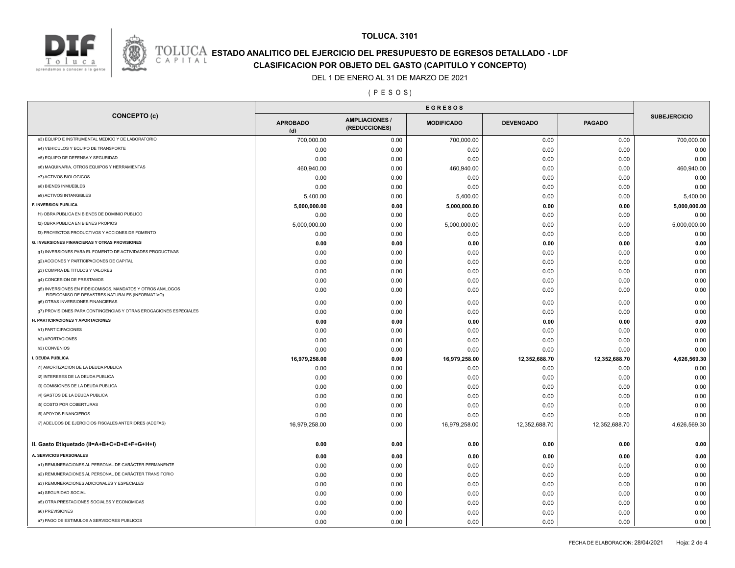



# **TOLUCA. 3101 ESTADO ANALITICO DEL EJERCICIO DEL PRESUPUESTO DE EGRESOS DETALLADO - LDF**<br>CAPITAL CIASIFICACION POR OBJETO DEL GASTO (CAPITULO Y CONCEPTO)

**CLASIFICACION POR OBJETO DEL GASTO (CAPITULO Y CONCEPTO)**

DEL 1 DE ENERO AL 31 DE MARZO DE 2021

( P E S O S )

|                                                                                                                | <b>EGRESOS</b>         |                                       |                   |                  |               |                     |
|----------------------------------------------------------------------------------------------------------------|------------------------|---------------------------------------|-------------------|------------------|---------------|---------------------|
| <b>CONCEPTO (c)</b>                                                                                            | <b>APROBADO</b><br>(d) | <b>AMPLIACIONES/</b><br>(REDUCCIONES) | <b>MODIFICADO</b> | <b>DEVENGADO</b> | <b>PAGADO</b> | <b>SUBEJERCICIO</b> |
| e3) EQUIPO E INSTRUMENTAL MEDICO Y DE LABORATORIO                                                              | 700,000.00             | 0.00                                  | 700,000.00        | 0.00             | 0.00          | 700,000.00          |
| e4) VEHICULOS Y EQUIPO DE TRANSPORTE                                                                           | 0.00                   | 0.00                                  | 0.00              | 0.00             | 0.00          | 0.00                |
| e5) EQUIPO DE DEFENSA Y SEGURIDAD                                                                              | 0.00                   | 0.00                                  | 0.00              | 0.00             | 0.00          | 0.00                |
| e6) MAQUINARIA, OTROS EQUIPOS Y HERRAMIENTAS                                                                   | 460,940.00             | 0.00                                  | 460,940.00        | 0.00             | 0.00          | 460,940.00          |
| e7) ACTIVOS BIOLOGICOS                                                                                         | 0.00                   | 0.00                                  | 0.00              | 0.00             | 0.00          | 0.00                |
| e8) BIENES INMUEBLES                                                                                           | 0.00                   | 0.00                                  | 0.00              | 0.00             | 0.00          | 0.00                |
| e9) ACTIVOS INTANGIBLES                                                                                        | 5,400.00               | 0.00                                  | 5,400.00          | 0.00             | 0.00          | 5,400.00            |
| <b>F. INVERSION PUBLICA</b>                                                                                    | 5,000,000.00           | 0.00                                  | 5,000,000.00      | 0.00             | 0.00          | 5,000,000.00        |
| f1) OBRA PUBLICA EN BIENES DE DOMINIO PUBLICO                                                                  | 0.00                   | 0.00                                  | 0.00              | 0.00             | 0.00          | 0.00                |
| f2) OBRA PUBLICA EN BIENES PROPIOS                                                                             | 5,000,000.00           | 0.00                                  | 5,000,000.00      | 0.00             | 0.00          | 5,000,000.00        |
| f3) PROYECTOS PRODUCTIVOS Y ACCIONES DE FOMENTO                                                                | 0.00                   | 0.00                                  | 0.00              | 0.00             | 0.00          | 0.00                |
| <b>G. INVERSIONES FINANCIERAS Y OTRAS PROVISIONES</b>                                                          | 0.00                   | 0.00                                  | 0.00              | 0.00             | 0.00          | 0.00                |
| g1) INVERSIONES PARA EL FOMENTO DE ACTIVIDADES PRODUCTIVAS                                                     | 0.00                   | 0.00                                  | 0.00              | 0.00             | 0.00          | 0.00                |
| g2) ACCIONES Y PARTICIPACIONES DE CAPITAL                                                                      | 0.00                   | 0.00                                  | 0.00              | 0.00             | 0.00          | 0.00                |
| g3) COMPRA DE TITULOS Y VALORES                                                                                | 0.00                   | 0.00                                  | 0.00              | 0.00             | 0.00          | 0.00                |
| g4) CONCESION DE PRESTAMOS                                                                                     | 0.00                   | 0.00                                  | 0.00              | 0.00             | 0.00          | 0.00                |
| g5) INVERSIONES EN FIDEICOMISOS, MANDATOS Y OTROS ANALOGOS<br>FIDEICOMISO DE DESASTRES NATURALES (INFORMATIVO) | 0.00                   | 0.00                                  | 0.00              | 0.00             | 0.00          | 0.00                |
| g6) OTRAS INVERSIONES FINANCIERAS                                                                              | 0.00                   | 0.00                                  | 0.00              | 0.00             | 0.00          | 0.00                |
| g7) PROVISIONES PARA CONTINGENCIAS Y OTRAS EROGACIONES ESPECIALES                                              | 0.00                   | 0.00                                  | 0.00              | 0.00             | 0.00          | 0.00                |
| H. PARTICIPACIONES Y APORTACIONES                                                                              | 0.00                   | 0.00                                  | 0.00              | 0.00             | 0.00          | 0.00                |
| h1) PARTICIPACIONES                                                                                            | 0.00                   | 0.00                                  | 0.00              | 0.00             | 0.00          | 0.00                |
| h2) APORTACIONES                                                                                               | 0.00                   | 0.00                                  | 0.00              | 0.00             | 0.00          | 0.00                |
| h3) CONVENIOS                                                                                                  | 0.00                   | 0.00                                  | 0.00              | 0.00             | 0.00          | 0.00                |
| I. DEUDA PUBLICA                                                                                               | 16,979,258.00          | 0.00                                  | 16,979,258.00     | 12,352,688.70    | 12,352,688.70 | 4,626,569.30        |
| i1) AMORTIZACION DE LA DEUDA PUBLICA                                                                           | 0.00                   | 0.00                                  | 0.00              | 0.00             | 0.00          | 0.00                |
| i2) INTERESES DE LA DEUDA PUBLICA                                                                              | 0.00                   | 0.00                                  | 0.00              | 0.00             | 0.00          | 0.00                |
| i3) COMISIONES DE LA DEUDA PUBLICA                                                                             | 0.00                   | 0.00                                  | 0.00              | 0.00             | 0.00          | 0.00                |
| i4) GASTOS DE LA DEUDA PUBLICA                                                                                 | 0.00                   | 0.00                                  | 0.00              | 0.00             | 0.00          | 0.00                |
| i5) COSTO POR COBERTURAS                                                                                       | 0.00                   | 0.00                                  | 0.00              | 0.00             | 0.00          | 0.00                |
| i6) APOYOS FINANCIEROS                                                                                         | 0.00                   | 0.00                                  | 0.00              | 0.00             | 0.00          | 0.00                |
| i7) ADEUDOS DE EJERCICIOS FISCALES ANTERIORES (ADEFAS)                                                         | 16,979,258.00          | 0.00                                  | 16,979,258.00     | 12,352,688.70    | 12,352,688.70 | 4,626,569.30        |
| II. Gasto Etiquetado (II=A+B+C+D+E+F+G+H+I)                                                                    | 0.00                   | 0.00                                  | 0.00              | 0.00             | 0.00          | 0.00                |
| A. SERVICIOS PERSONALES                                                                                        | 0.00                   | 0.00                                  | 0.00              | 0.00             | 0.00          | 0.00                |
| a1) REMUNERACIONES AL PERSONAL DE CARÁCTER PERMANENTE                                                          | 0.00                   | 0.00                                  | 0.00              | 0.00             | 0.00          | 0.00                |
| a2) REMUNERACIONES AL PERSONAL DE CARÁCTER TRANSITORIO                                                         | 0.00                   | 0.00                                  | 0.00              | 0.00             | 0.00          | 0.00                |
| a3) REMUNERACIONES ADICIONALES Y ESPECIALES                                                                    | 0.00                   | 0.00                                  | 0.00              | 0.00             | 0.00          | 0.00                |
| a4) SEGURIDAD SOCIAL                                                                                           | 0.00                   | 0.00                                  | 0.00              | 0.00             | 0.00          | 0.00                |
| a5) OTRA PRESTACIONES SOCIALES Y ECONOMICAS                                                                    | 0.00                   | 0.00                                  | 0.00              | 0.00             | 0.00          | 0.00                |
| a6) PREVISIONES                                                                                                | 0.00                   | 0.00                                  | 0.00              | 0.00             | 0.00          | 0.00                |
| a7) PAGO DE ESTIMULOS A SERVIDORES PUBLICOS                                                                    | 0.00                   | 0.00                                  | 0.00              | 0.00             | 0.00          | 0.00                |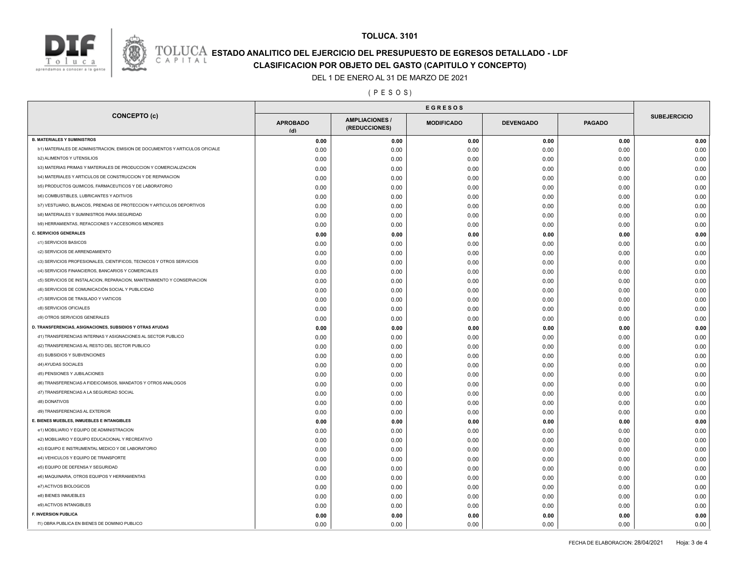

## **ESTADO ANALITICO DEL EJERCICIO DEL PRESUPUESTO DE EGRESOS DETALLADO - LDF**<br>CAPITAL CLASIFICACION POR OR IETO DEL GASTO (CARITILLO Y CONCERTO) **CLASIFICACION POR OBJETO DEL GASTO (CAPITULO Y CONCEPTO)**

**TOLUCA. 3101**

#### DEL 1 DE ENERO AL 31 DE MARZO DE 2021

#### ( P E S O S )

|                                                                              |                        | <b>EGRESOS</b>                         |                   |                  |               |                     |
|------------------------------------------------------------------------------|------------------------|----------------------------------------|-------------------|------------------|---------------|---------------------|
| <b>CONCEPTO (c)</b>                                                          | <b>APROBADO</b><br>(d) | <b>AMPLIACIONES /</b><br>(REDUCCIONES) | <b>MODIFICADO</b> | <b>DEVENGADO</b> | <b>PAGADO</b> | <b>SUBEJERCICIO</b> |
| <b>B. MATERIALES Y SUMINISTROS</b>                                           | 0.00                   | 0.00                                   | 0.00              | 0.00             | 0.00          | 0.00                |
| b1) MATERIALES DE ADMINISTRACION, EMISION DE DOCUMENTOS Y ARTICULOS OFICIALE | 0.00                   | 0.00                                   | 0.00              | 0.00             | 0.00          | 0.00                |
| <b>b2) ALIMENTOS Y UTENSILIOS</b>                                            | 0.00                   | 0.00                                   | 0.00              | 0.00             | 0.00          | 0.00                |
| b3) MATERIAS PRIMAS Y MATERIALES DE PRODUCCION Y COMERCIALIZACION            | 0.00                   | 0.00                                   | 0.00              | 0.00             | 0.00          | 0.00                |
| b4) MATERIALES Y ARTICULOS DE CONSTRUCCION Y DE REPARACION                   | 0.00                   | 0.00                                   | 0.00              | 0.00             | 0.00          | 0.00                |
| b5) PRODUCTOS QUIMICOS, FARMACEUTICOS Y DE LABORATORIO                       | 0.00                   | 0.00                                   | 0.00              | 0.00             | 0.00          | 0.00                |
| b6) COMBUSTIBLES, LUBRICANTES Y ADITIVOS                                     | 0.00                   | 0.00                                   | 0.00              | 0.00             | 0.00          | 0.00                |
| b7) VESTUARIO, BLANCOS, PRENDAS DE PROTECCION Y ARTICULOS DEPORTIVOS         | 0.00                   | 0.00                                   | 0.00              | 0.00             | 0.00          | 0.00                |
| b8) MATERIALES Y SUMINISTROS PARA SEGURIDAD                                  | 0.00                   | 0.00                                   | 0.00              | 0.00             | 0.00          | 0.00                |
| b9) HERRAMIENTAS, REFACCIONES Y ACCESORIOS MENORES                           | 0.00                   | 0.00                                   | 0.00              | 0.00             | 0.00          | 0.00                |
| C. SERVICIOS GENERALES                                                       | 0.00                   | 0.00                                   | 0.00              | 0.00             | 0.00          | 0.00                |
| c1) SERVICIOS BASICOS                                                        | 0.00                   | 0.00                                   | 0.00              | 0.00             | 0.00          | 0.00                |
| c2) SERVICIOS DE ARRENDAMIENTO                                               | 0.00                   | 0.00                                   | 0.00              | 0.00             | 0.00          | 0.00                |
| c3) SERVICIOS PROFESIONALES, CIENTIFICOS, TECNICOS Y OTROS SERVICIOS         | 0.00                   | 0.00                                   | 0.00              | 0.00             | 0.00          | 0.00                |
| c4) SERVICIOS FINANCIEROS, BANCARIOS Y COMERCIALES                           | 0.00                   | 0.00                                   | 0.00              | 0.00             | 0.00          | 0.00                |
| c5) SERVICIOS DE INSTALACION, REPARACION, MANTENIMIENTO Y CONSERVACION       | 0.00                   | 0.00                                   | 0.00              | 0.00             | 0.00          | 0.00                |
| c6) SERVICIOS DE COMUNICACIÓN SOCIAL Y PUBLICIDAD                            | 0.00                   | 0.00                                   | 0.00              | 0.00             | 0.00          | 0.00                |
| c7) SERVICIOS DE TRASLADO Y VIATICOS                                         | 0.00                   | 0.00                                   | 0.00              | 0.00             | 0.00          | 0.00                |
| c8) SERVICIOS OFICIALES                                                      | 0.00                   | 0.00                                   | 0.00              | 0.00             | 0.00          | 0.00                |
| c9) OTROS SERVICIOS GENERALES                                                | 0.00                   | 0.00                                   | 0.00              | 0.00             | 0.00          | 0.00                |
| D. TRANSFERENCIAS, ASIGNACIONES, SUBSIDIOS Y OTRAS AYUDAS                    | 0.00                   | 0.00                                   | 0.00              | 0.00             | 0.00          | 0.00                |
| d1) TRANSFERENCIAS INTERNAS Y ASIGNACIONES AL SECTOR PUBLICO                 | 0.00                   | 0.00                                   | 0.00              | 0.00             | 0.00          | 0.00                |
| d2) TRANSFERENCIAS AL RESTO DEL SECTOR PUBLICO                               | 0.00                   | 0.00                                   | 0.00              | 0.00             | 0.00          | 0.00                |
| d3) SUBSIDIOS Y SUBVENCIONES                                                 | 0.00                   | 0.00                                   | 0.00              | 0.00             | 0.00          | 0.00                |
| d4) AYUDAS SOCIALES                                                          | 0.00                   | 0.00                                   | 0.00              | 0.00             | 0.00          | 0.00                |
| d5) PENSIONES Y JUBILACIONES                                                 | 0.00                   | 0.00                                   | 0.00              | 0.00             | 0.00          | 0.00                |
| d6) TRANSFERENCIAS A FIDEICOMISOS, MANDATOS Y OTROS ANALOGOS                 | 0.00                   | 0.00                                   | 0.00              | 0.00             | 0.00          | 0.00                |
| d7) TRANSFERENCIAS A LA SEGURIDAD SOCIAL                                     | 0.00                   | 0.00                                   | 0.00              | 0.00             | 0.00          | 0.00                |
| d8) DONATIVOS                                                                | 0.00                   | 0.00                                   | 0.00              | 0.00             | 0.00          | 0.00                |
| d9) TRANSFERENCIAS AL EXTERIOR                                               | 0.00                   | 0.00                                   | 0.00              | 0.00             | 0.00          | 0.00                |
| E. BIENES MUEBLES, INMUEBLES E INTANGIBLES                                   | 0.00                   | 0.00                                   | 0.00              | 0.00             | 0.00          | 0.00                |
| e1) MOBILIARIO Y EQUIPO DE ADMINISTRACION                                    | 0.00                   | 0.00                                   | 0.00              | 0.00             | 0.00          | 0.00                |
| e2) MOBILIARIO Y EQUIPO EDUCACIONAL Y RECREATIVO                             | 0.00                   | 0.00                                   | 0.00              | 0.00             | 0.00          | 0.00                |
| e3) EQUIPO E INSTRUMENTAL MEDICO Y DE LABORATORIO                            | 0.00                   | 0.00                                   | 0.00              | 0.00             | 0.00          | 0.00                |
| e4) VEHICULOS Y EQUIPO DE TRANSPORTE                                         | 0.00                   | 0.00                                   | 0.00              | 0.00             | 0.00          | 0.00                |
| e5) EQUIPO DE DEFENSA Y SEGURIDAD                                            | 0.00                   | 0.00                                   | 0.00              | 0.00             | 0.00          | 0.00                |
| e6) MAQUINARIA, OTROS EQUIPOS Y HERRAMIENTAS                                 | 0.00                   | 0.00                                   | 0.00              | 0.00             | 0.00          | 0.00                |
| e7) ACTIVOS BIOLOGICOS                                                       | 0.00                   | 0.00                                   | 0.00              | 0.00             | 0.00          | 0.00                |
| e8) BIENES INMUEBLES                                                         | 0.00                   | 0.00                                   |                   | 0.00             | 0.00          | 0.00                |
| e9) ACTIVOS INTANGIBLES                                                      | 0.00                   | 0.00                                   | 0.00<br>0.00      | 0.00             | 0.00          | 0.00                |
| F. INVERSION PUBLICA                                                         | 0.00                   |                                        |                   |                  |               |                     |
| f1) OBRA PUBLICA EN BIENES DE DOMINIO PUBLICO                                | 0.00                   | 0.00<br>0.00                           | 0.00<br>0.00      | 0.00<br>0.00     | 0.00<br>0.00  | 0.00<br>0.00        |
|                                                                              |                        |                                        |                   |                  |               |                     |